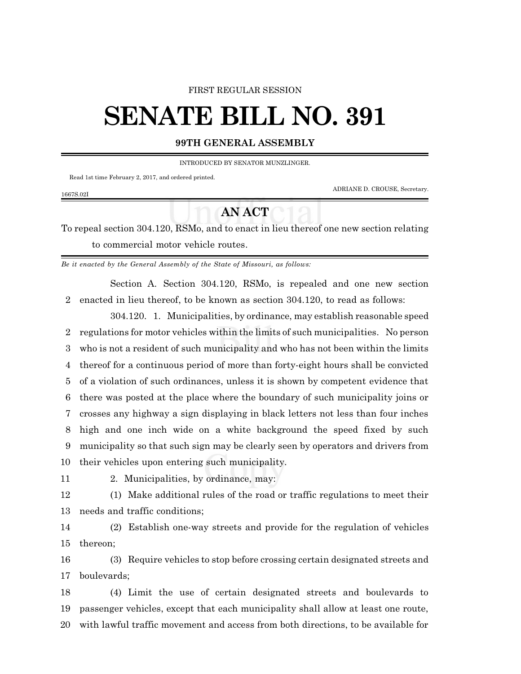#### FIRST REGULAR SESSION

# **SENATE BILL NO. 391**

### **99TH GENERAL ASSEMBLY**

INTRODUCED BY SENATOR MUNZLINGER.

Read 1st time February 2, 2017, and ordered printed.

ADRIANE D. CROUSE, Secretary.

#### 1667S.02I

## **AN ACT**

To repeal section 304.120, RSMo, and to enact in lieu thereof one new section relating to commercial motor vehicle routes.

*Be it enacted by the General Assembly of the State of Missouri, as follows:*

Section A. Section 304.120, RSMo, is repealed and one new section enacted in lieu thereof, to be known as section 304.120, to read as follows:

304.120. 1. Municipalities, by ordinance, may establish reasonable speed regulations for motor vehicles within the limits of such municipalities. No person who is not a resident of such municipality and who has not been within the limits thereof for a continuous period of more than forty-eight hours shall be convicted of a violation of such ordinances, unless it is shown by competent evidence that there was posted at the place where the boundary of such municipality joins or crosses any highway a sign displaying in black letters not less than four inches high and one inch wide on a white background the speed fixed by such municipality so that such sign may be clearly seen by operators and drivers from their vehicles upon entering such municipality.

2. Municipalities, by ordinance, may:

 (1) Make additional rules of the road or traffic regulations to meet their needs and traffic conditions;

 (2) Establish one-way streets and provide for the regulation of vehicles thereon;

 (3) Require vehicles to stop before crossing certain designated streets and boulevards;

 (4) Limit the use of certain designated streets and boulevards to passenger vehicles, except that each municipality shall allow at least one route, with lawful traffic movement and access from both directions, to be available for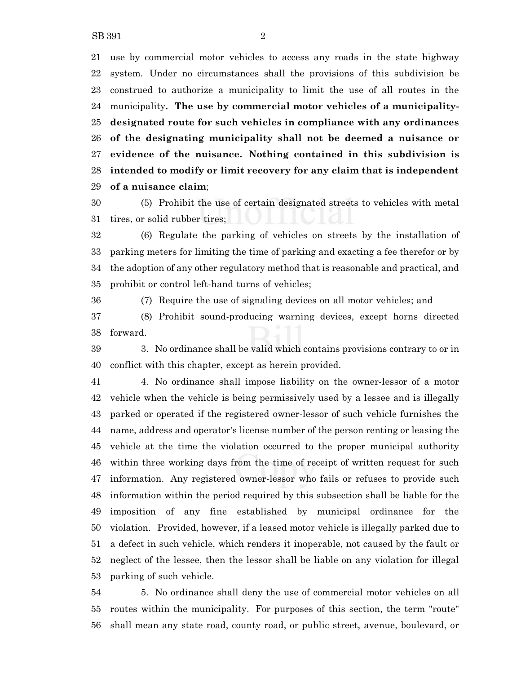use by commercial motor vehicles to access any roads in the state highway system. Under no circumstances shall the provisions of this subdivision be construed to authorize a municipality to limit the use of all routes in the municipality**. The use by commercial motor vehicles of a municipality- designated route for such vehicles in compliance with any ordinances of the designating municipality shall not be deemed a nuisance or evidence of the nuisance. Nothing contained in this subdivision is intended to modify or limit recovery for any claim that is independent of a nuisance claim**;

 (5) Prohibit the use of certain designated streets to vehicles with metal tires, or solid rubber tires;

 (6) Regulate the parking of vehicles on streets by the installation of parking meters for limiting the time of parking and exacting a fee therefor or by the adoption of any other regulatory method that is reasonable and practical, and prohibit or control left-hand turns of vehicles;

(7) Require the use of signaling devices on all motor vehicles; and

 (8) Prohibit sound-producing warning devices, except horns directed forward.

 3. No ordinance shall be valid which contains provisions contrary to or in conflict with this chapter, except as herein provided.

 4. No ordinance shall impose liability on the owner-lessor of a motor vehicle when the vehicle is being permissively used by a lessee and is illegally parked or operated if the registered owner-lessor of such vehicle furnishes the name, address and operator's license number of the person renting or leasing the vehicle at the time the violation occurred to the proper municipal authority within three working days from the time of receipt of written request for such information. Any registered owner-lessor who fails or refuses to provide such information within the period required by this subsection shall be liable for the imposition of any fine established by municipal ordinance for the violation. Provided, however, if a leased motor vehicle is illegally parked due to a defect in such vehicle, which renders it inoperable, not caused by the fault or neglect of the lessee, then the lessor shall be liable on any violation for illegal parking of such vehicle.

 5. No ordinance shall deny the use of commercial motor vehicles on all routes within the municipality. For purposes of this section, the term "route" shall mean any state road, county road, or public street, avenue, boulevard, or